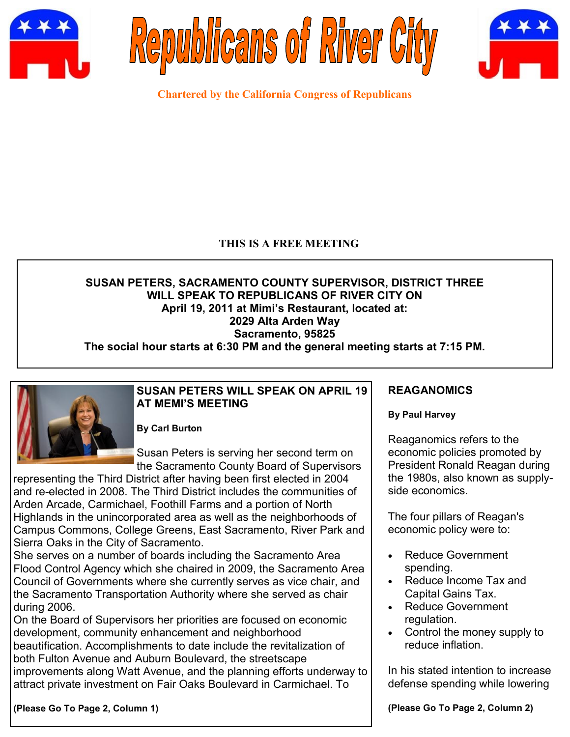





**Chartered by the California Congress of Republicans**

# **THIS IS A FREE MEETING**

# **SUSAN PETERS, SACRAMENTO COUNTY SUPERVISOR, DISTRICT THREE WILL SPEAK TO REPUBLICANS OF RIVER CITY ON April 19, 2011 at Mimi's Restaurant, located at: 2029 Alta Arden Way Sacramento, 95825**

**The social hour starts at 6:30 PM and the general meeting starts at 7:15 PM.**



## **SUSAN PETERS WILL SPEAK ON APRIL 19 AT MEMI'S MEETING**

**By Carl Burton**

Susan Peters is serving her second term on the Sacramento County Board of Supervisors

representing the Third District after having been first elected in 2004 and re-elected in 2008. The Third District includes the communities of Arden Arcade, Carmichael, Foothill Farms and a portion of North Highlands in the unincorporated area as well as the neighborhoods of Campus Commons, College Greens, East Sacramento, River Park and Sierra Oaks in the City of Sacramento.

She serves on a number of boards including the Sacramento Area Flood Control Agency which she chaired in 2009, the Sacramento Area Council of Governments where she currently serves as vice chair, and the Sacramento Transportation Authority where she served as chair during 2006.

On the Board of Supervisors her priorities are focused on economic development, community enhancement and neighborhood beautification. Accomplishments to date include the revitalization of both Fulton Avenue and Auburn Boulevard, the streetscape improvements along Watt Avenue, and the planning efforts underway to attract private investment on Fair Oaks Boulevard in Carmichael. To

**(Please Go To Page 2, Column 1)**

# **REAGANOMICS**

## **By Paul Harvey**

Reaganomics refers to the economic policies promoted by President Ronald Reagan during the 1980s, also known as supplyside economics.

The four pillars of Reagan's economic policy were to:

- Reduce Government spending.
- Reduce Income Tax and Capital Gains Tax.
- Reduce Government regulation.
- Control the money supply to reduce inflation.

In his stated intention to increase defense spending while lowering

**(Please Go To Page 2, Column 2)**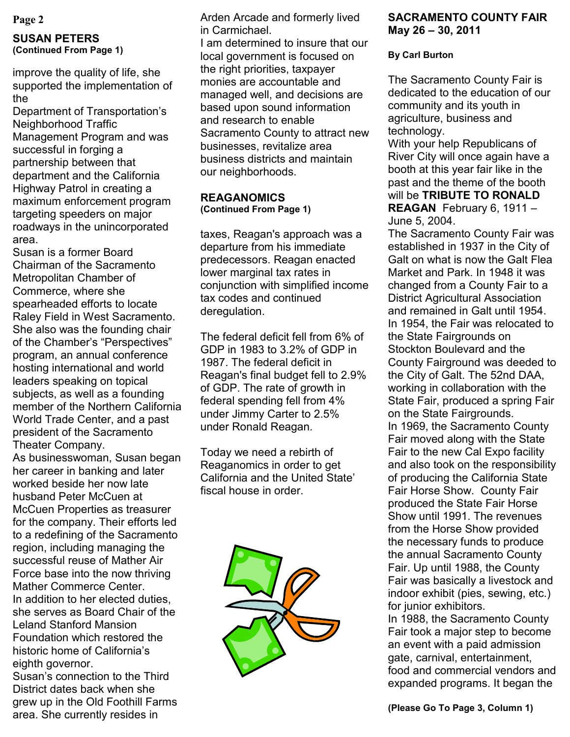#### **SUSAN PETERS (Continued From Page 1)**

improve the quality of life, she supported the implementation of the

Department of Transportation's Neighborhood Traffic Management Program and was successful in forging a partnership between that department and the California Highway Patrol in creating a maximum enforcement program targeting speeders on major roadways in the unincorporated area.

Susan is a former Board Chairman of the Sacramento Metropolitan Chamber of Commerce, where she spearheaded efforts to locate Raley Field in West Sacramento. She also was the founding chair of the Chamber"s "Perspectives" program, an annual conference hosting international and world leaders speaking on topical subjects, as well as a founding member of the Northern California World Trade Center, and a past president of the Sacramento Theater Company.

As businesswoman, Susan began her career in banking and later worked beside her now late husband Peter McCuen at McCuen Properties as treasurer for the company. Their efforts led to a redefining of the Sacramento region, including managing the successful reuse of Mather Air Force base into the now thriving Mather Commerce Center. In addition to her elected duties, she serves as Board Chair of the Leland Stanford Mansion Foundation which restored the historic home of California's eighth governor.

Susan"s connection to the Third District dates back when she grew up in the Old Foothill Farms area. She currently resides in

**Page 2 SACRAMENTO COUNTY FAIR** Arden Arcade and formerly lived **SACRAMENTO COUNTY FAIR** in Carmichael.

I am determined to insure that our local government is focused on the right priorities, taxpayer monies are accountable and managed well, and decisions are based upon sound information and research to enable Sacramento County to attract new businesses, revitalize area business districts and maintain our neighborhoods.

#### **REAGANOMICS (Continued From Page 1)**

taxes, Reagan's approach was a departure from his immediate predecessors. Reagan enacted lower marginal tax rates in conjunction with simplified income tax codes and continued deregulation.

The federal deficit fell from 6% of GDP in 1983 to 3.2% of GDP in 1987. The federal deficit in Reagan's final budget fell to 2.9% of GDP. The rate of growth in federal spending fell from 4% under Jimmy Carter to 2.5% under Ronald Reagan.

Today we need a rebirth of Reaganomics in order to get California and the United State" fiscal house in order.



# **May 26 – 30, 2011**

## **By Carl Burton**

The Sacramento County Fair is dedicated to the education of our community and its youth in agriculture, business and technology.

With your help Republicans of River City will once again have a booth at this year fair like in the past and the theme of the booth will be **TRIBUTE TO RONALD REAGAN** February 6, 1911 – June 5, 2004.

The Sacramento County Fair was established in 1937 in the City of Galt on what is now the Galt Flea Market and Park. In 1948 it was changed from a County Fair to a District Agricultural Association and remained in Galt until 1954. In 1954, the Fair was relocated to the State Fairgrounds on Stockton Boulevard and the County Fairground was deeded to the City of Galt. The 52nd DAA, working in collaboration with the State Fair, produced a spring Fair on the State Fairgrounds. In 1969, the Sacramento County Fair moved along with the State Fair to the new Cal Expo facility and also took on the responsibility of producing the California State Fair Horse Show. County Fair produced the State Fair Horse Show until 1991. The revenues from the Horse Show provided the necessary funds to produce the annual Sacramento County Fair. Up until 1988, the County Fair was basically a livestock and indoor exhibit (pies, sewing, etc.) for junior exhibitors.

In 1988, the Sacramento County Fair took a major step to become an event with a paid admission gate, carnival, entertainment, food and commercial vendors and expanded programs. It began the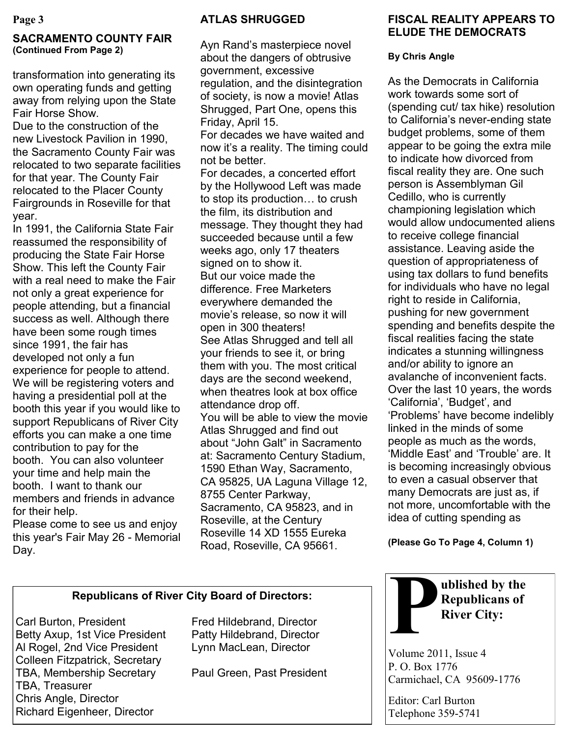## **SACRAMENTO COUNTY FAIR (Continued From Page 2)**

transformation into generating its own operating funds and getting away from relying upon the State Fair Horse Show.

Due to the construction of the new Livestock Pavilion in 1990, the Sacramento County Fair was relocated to two separate facilities for that year. The County Fair relocated to the Placer County Fairgrounds in Roseville for that year.

In 1991, the California State Fair reassumed the responsibility of producing the State Fair Horse Show. This left the County Fair with a real need to make the Fair not only a great experience for people attending, but a financial success as well. Although there have been some rough times since 1991, the fair has developed not only a fun experience for people to attend. We will be registering voters and having a presidential poll at the booth this year if you would like to support Republicans of River City efforts you can make a one time contribution to pay for the booth. You can also volunteer your time and help main the booth. I want to thank our members and friends in advance for their help.

Please come to see us and enjoy this year's Fair May 26 - Memorial Day.

## **ATLAS SHRUGGED**

Ayn Rand"s masterpiece novel about the dangers of obtrusive government, excessive regulation, and the disintegration of society, is now a movie! Atlas Shrugged, Part One, opens this Friday, April 15. For decades we have waited and now it's a reality. The timing could not be better. For decades, a concerted effort by the Hollywood Left was made to stop its production… to crush the film, its distribution and message. They thought they had succeeded because until a few weeks ago, only 17 theaters signed on to show it. But our voice made the difference. Free Marketers everywhere demanded the movie"s release, so now it will open in 300 theaters! See Atlas Shrugged and tell all your friends to see it, or bring them with you. The most critical days are the second weekend, when theatres look at box office attendance drop off. You will be able to view the movie Atlas Shrugged and find out about "John Galt" in Sacramento at: Sacramento Century Stadium, 1590 Ethan Way, Sacramento, CA 95825, UA Laguna Village 12, 8755 Center Parkway, Sacramento, CA 95823, and in Roseville, at the Century Roseville 14 XD 1555 Eureka Road, Roseville, CA 95661.

# **FISCAL REALITY APPEARS TO ELUDE THE DEMOCRATS**

## **By Chris Angle**

As the Democrats in California work towards some sort of (spending cut/ tax hike) resolution to California"s never-ending state budget problems, some of them appear to be going the extra mile to indicate how divorced from fiscal reality they are. One such person is Assemblyman Gil Cedillo, who is currently championing legislation which would allow undocumented aliens to receive college financial assistance. Leaving aside the question of appropriateness of using tax dollars to fund benefits for individuals who have no legal right to reside in California, pushing for new government spending and benefits despite the fiscal realities facing the state indicates a stunning willingness and/or ability to ignore an avalanche of inconvenient facts. Over the last 10 years, the words 'California', 'Budget', and "Problems" have become indelibly linked in the minds of some people as much as the words, "Middle East" and "Trouble" are. It is becoming increasingly obvious to even a casual observer that many Democrats are just as, if not more, uncomfortable with the idea of cutting spending as

**(Please Go To Page 4, Column 1)**

## **Republicans of River City Board of Directors:**

Carl Burton, President Fred Hildebrand, Director Betty Axup, 1st Vice President Patty Hildebrand, Director Al Rogel, 2nd Vice President Lynn MacLean, Director Colleen Fitzpatrick, Secretary TBA, Membership Secretary Paul Green, Past President TBA, Treasurer Chris Angle, Director Richard Eigenheer, Director



Volume 2011, Issue 4 P. O. Box 1776 Carmichael, CA 95609-1776

Editor: Carl Burton Telephone 359-5741